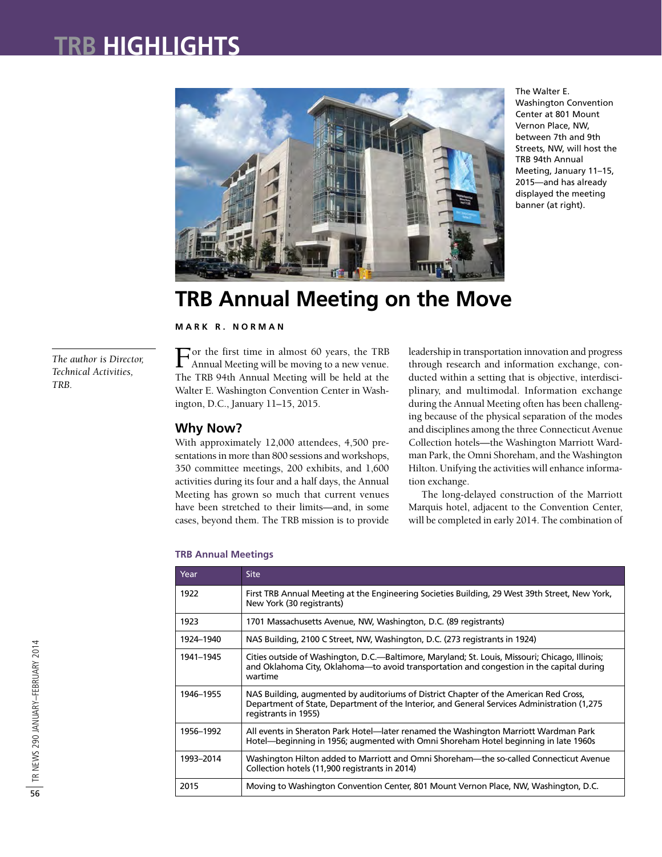## **TRB HIGHLIGHTS**



The Walter E. Washington Convention Center at 801 Mount Vernon Place, NW, between 7th and 9th Streets, NW, will host the TRB 94th Annual Meeting, January 11–15, 2015—and has already displayed the meeting banner (at right).

## **TRB Annual Meeting on the Move**

**M A R K R . N O R M A N**

*The author is Director, Technical Activities, TRB.*

For the first time in almost 60 years, the TRB Annual Meeting will be moving to a new venue. The TRB 94th Annual Meeting will be held at the Walter E. Washington Convention Center in Washington, D.C., January 11–15, 2015.

### **Why Now?**

With approximately 12,000 attendees, 4,500 presentations in more than 800 sessions and workshops, 350 committee meetings, 200 exhibits, and 1,600 activities during its four and a half days, the Annual Meeting has grown so much that current venues have been stretched to their limits—and, in some cases, beyond them. The TRB mission is to provide leadership in transportation innovation and progress through research and information exchange, conducted within a setting that is objective, interdisciplinary, and multimodal. Information exchange during the Annual Meeting often has been challenging because of the physical separation of the modes and disciplines among the three Connecticut Avenue Collection hotels—the Washington Marriott Wardman Park, the Omni Shoreham, and the Washington Hilton. Unifying the activities will enhance information exchange.

The long-delayed construction of the Marriott Marquis hotel, adjacent to the Convention Center, will be completed in early 2014. The combination of

| Year      | <b>Site</b>                                                                                                                                                                                                  |
|-----------|--------------------------------------------------------------------------------------------------------------------------------------------------------------------------------------------------------------|
| 1922      | First TRB Annual Meeting at the Engineering Societies Building, 29 West 39th Street, New York,<br>New York (30 registrants)                                                                                  |
| 1923      | 1701 Massachusetts Avenue, NW, Washington, D.C. (89 registrants)                                                                                                                                             |
| 1924-1940 | NAS Building, 2100 C Street, NW, Washington, D.C. (273 registrants in 1924)                                                                                                                                  |
| 1941-1945 | Cities outside of Washington, D.C.—Baltimore, Maryland; St. Louis, Missouri; Chicago, Illinois;<br>and Oklahoma City, Oklahoma—to avoid transportation and congestion in the capital during<br>wartime       |
| 1946-1955 | NAS Building, augmented by auditoriums of District Chapter of the American Red Cross,<br>Department of State, Department of the Interior, and General Services Administration (1,275<br>registrants in 1955) |
| 1956-1992 | All events in Sheraton Park Hotel—later renamed the Washington Marriott Wardman Park<br>Hotel—beginning in 1956; augmented with Omni Shoreham Hotel beginning in late 1960s                                  |
| 1993-2014 | Washington Hilton added to Marriott and Omni Shoreham-the so-called Connecticut Avenue<br>Collection hotels (11,900 registrants in 2014)                                                                     |
| 2015      | Moving to Washington Convention Center, 801 Mount Vernon Place, NW, Washington, D.C.                                                                                                                         |

#### **TRB Annual Meetings**